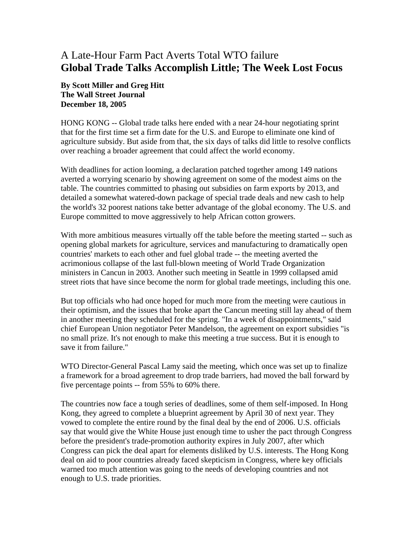## A Late-Hour Farm Pact Averts Total WTO failure **Global Trade Talks Accomplish Little; The Week Lost Focus**

## **By Scott Miller and Greg Hitt The Wall Street Journal December 18, 2005**

HONG KONG -- Global trade talks here ended with a near 24-hour negotiating sprint that for the first time set a firm date for the U.S. and Europe to eliminate one kind of agriculture subsidy. But aside from that, the six days of talks did little to resolve conflicts over reaching a broader agreement that could affect the world economy.

With deadlines for action looming, a declaration patched together among 149 nations averted a worrying scenario by showing agreement on some of the modest aims on the table. The countries committed to phasing out subsidies on farm exports by 2013, and detailed a somewhat watered-down package of special trade deals and new cash to help the world's 32 poorest nations take better advantage of the global economy. The U.S. and Europe committed to move aggressively to help African cotton growers.

With more ambitious measures virtually off the table before the meeting started -- such as opening global markets for agriculture, services and manufacturing to dramatically open countries' markets to each other and fuel global trade -- the meeting averted the acrimonious collapse of the last full-blown meeting of World Trade Organization ministers in Cancun in 2003. Another such meeting in Seattle in 1999 collapsed amid street riots that have since become the norm for global trade meetings, including this one.

But top officials who had once hoped for much more from the meeting were cautious in their optimism, and the issues that broke apart the Cancun meeting still lay ahead of them in another meeting they scheduled for the spring. "In a week of disappointments," said chief European Union negotiator Peter Mandelson, the agreement on export subsidies "is no small prize. It's not enough to make this meeting a true success. But it is enough to save it from failure."

WTO Director-General Pascal Lamy said the meeting, which once was set up to finalize a framework for a broad agreement to drop trade barriers, had moved the ball forward by five percentage points -- from 55% to 60% there.

The countries now face a tough series of deadlines, some of them self-imposed. In Hong Kong, they agreed to complete a blueprint agreement by April 30 of next year. They vowed to complete the entire round by the final deal by the end of 2006. U.S. officials say that would give the White House just enough time to usher the pact through Congress before the president's trade-promotion authority expires in July 2007, after which Congress can pick the deal apart for elements disliked by U.S. interests. The Hong Kong deal on aid to poor countries already faced skepticism in Congress, where key officials warned too much attention was going to the needs of developing countries and not enough to U.S. trade priorities.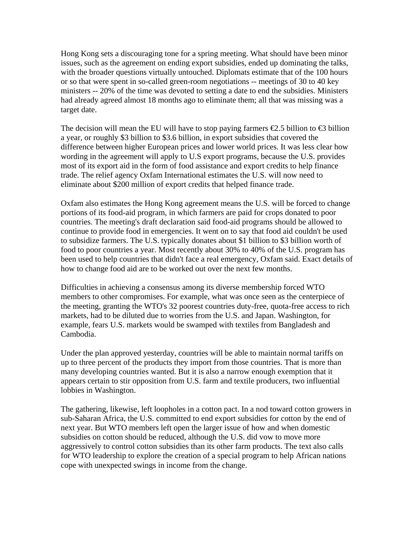Hong Kong sets a discouraging tone for a spring meeting. What should have been minor issues, such as the agreement on ending export subsidies, ended up dominating the talks, with the broader questions virtually untouched. Diplomats estimate that of the 100 hours or so that were spent in so-called green-room negotiations -- meetings of 30 to 40 key ministers -- 20% of the time was devoted to setting a date to end the subsidies. Ministers had already agreed almost 18 months ago to eliminate them; all that was missing was a target date.

The decision will mean the EU will have to stop paying farmers  $\epsilon$ 2.5 billion to  $\epsilon$ 3 billion a year, or roughly \$3 billion to \$3.6 billion, in export subsidies that covered the difference between higher European prices and lower world prices. It was less clear how wording in the agreement will apply to U.S export programs, because the U.S. provides most of its export aid in the form of food assistance and export credits to help finance trade. The relief agency Oxfam International estimates the U.S. will now need to eliminate about \$200 million of export credits that helped finance trade.

Oxfam also estimates the Hong Kong agreement means the U.S. will be forced to change portions of its food-aid program, in which farmers are paid for crops donated to poor countries. The meeting's draft declaration said food-aid programs should be allowed to continue to provide food in emergencies. It went on to say that food aid couldn't be used to subsidize farmers. The U.S. typically donates about \$1 billion to \$3 billion worth of food to poor countries a year. Most recently about 30% to 40% of the U.S. program has been used to help countries that didn't face a real emergency, Oxfam said. Exact details of how to change food aid are to be worked out over the next few months.

Difficulties in achieving a consensus among its diverse membership forced WTO members to other compromises. For example, what was once seen as the centerpiece of the meeting, granting the WTO's 32 poorest countries duty-free, quota-free access to rich markets, had to be diluted due to worries from the U.S. and Japan. Washington, for example, fears U.S. markets would be swamped with textiles from Bangladesh and Cambodia.

Under the plan approved yesterday, countries will be able to maintain normal tariffs on up to three percent of the products they import from those countries. That is more than many developing countries wanted. But it is also a narrow enough exemption that it appears certain to stir opposition from U.S. farm and textile producers, two influential lobbies in Washington.

The gathering, likewise, left loopholes in a cotton pact. In a nod toward cotton growers in sub-Saharan Africa, the U.S. committed to end export subsidies for cotton by the end of next year. But WTO members left open the larger issue of how and when domestic subsidies on cotton should be reduced, although the U.S. did vow to move more aggressively to control cotton subsidies than its other farm products. The text also calls for WTO leadership to explore the creation of a special program to help African nations cope with unexpected swings in income from the change.